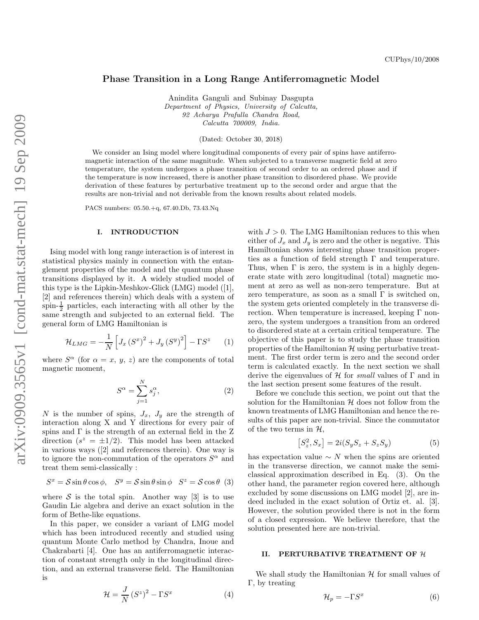## Phase Transition in a Long Range Antiferromagnetic Model

Anindita Ganguli and Subinay Dasgupta Department of Physics, University of Calcutta, 92 Acharya Prafulla Chandra Road, Calcutta 700009, India.

(Dated: October 30, 2018)

We consider an Ising model where longitudinal components of every pair of spins have antiferromagnetic interaction of the same magnitude. When subjected to a transverse magnetic field at zero temperature, the system undergoes a phase transition of second order to an ordered phase and if the temperature is now increased, there is another phase transition to disordered phase. We provide derivation of these features by perturbative treatment up to the second order and argue that the results are non-trivial and not derivable from the known results about related models.

PACS numbers: 05.50.+q, 67.40.Db, 73.43.Nq

## I. INTRODUCTION

Ising model with long range interaction is of interest in statistical physics mainly in connection with the entanglement properties of the model and the quantum phase transitions displayed by it. A widely studied model of this type is the Lipkin-Meshkov-Glick (LMG) model ([1], [2] and references therein) which deals with a system of spin- $\frac{1}{2}$  particles, each interacting with all other by the same strength and subjected to an external field. The general form of LMG Hamiltonian is

$$
\mathcal{H}_{LMG} = -\frac{1}{N} \left[ J_x \left( S^x \right)^2 + J_y \left( S^y \right)^2 \right] - \Gamma S^z \tag{1}
$$

where  $S^{\alpha}$  (for  $\alpha = x, y, z$ ) are the components of total magnetic moment,

$$
S^{\alpha} = \sum_{j=1}^{N} s_j^{\alpha},\tag{2}
$$

N is the number of spins,  $J_x$ ,  $J_y$  are the strength of interaction along X and Y directions for every pair of spins and  $\Gamma$  is the strength of an external field in the Z direction  $(s^z = \pm 1/2)$ . This model has been attacked in various ways ([2] and references therein). One way is to ignore the non-commutation of the operators  $S^{\alpha}$  and treat them semi-classically :

$$
S^x = \mathcal{S}\sin\theta\cos\phi, \quad S^y = \mathcal{S}\sin\theta\sin\phi \quad S^z = \mathcal{S}\cos\theta \tag{3}
$$

where  $S$  is the total spin. Another way [3] is to use Gaudin Lie algebra and derive an exact solution in the form of Bethe-like equations.

In this paper, we consider a variant of LMG model which has been introduced recently and studied using quantum Monte Carlo method by Chandra, Inoue and Chakrabarti [4]. One has an antiferromagnetic interaction of constant strength only in the longitudinal direction, and an external transverse field. The Hamiltonian is

$$
\mathcal{H} = \frac{J}{N} \left( S^z \right)^2 - \Gamma S^x \tag{4}
$$

with  $J > 0$ . The LMG Hamiltonian reduces to this when either of  $J_x$  and  $J_y$  is zero and the other is negative. This Hamiltonian shows interesting phase transition properties as a function of field strength  $\Gamma$  and temperature. Thus, when  $\Gamma$  is zero, the system is in a highly degenerate state with zero longitudinal (total) magnetic moment at zero as well as non-zero temperature. But at zero temperature, as soon as a small  $\Gamma$  is switched on, the system gets oriented completely in the transverse direction. When temperature is increased, keeping  $\Gamma$  nonzero, the system undergoes a transition from an ordered to disordered state at a certain critical temperature. The objective of this paper is to study the phase transition properties of the Hamiltonian  $\mathcal H$  using perturbative treatment. The first order term is zero and the second order term is calculated exactly. In the next section we shall derive the eigenvalues of  $H$  for small values of  $\Gamma$  and in the last section present some features of the result.

Before we conclude this section, we point out that the solution for the Hamiltonian  $H$  does not follow from the known treatments of LMG Hamiltonian and hence the results of this paper are non-trivial. Since the commutator of the two terms in  $H$ ,

$$
[S_z^2, S_x] = 2i(S_y S_z + S_z S_y)
$$
 (5)

has expectation value  $\sim N$  when the spins are oriented in the transverse direction, we cannot make the semiclassical approximation described in Eq. (3). On the other hand, the parameter region covered here, although excluded by some discussions on LMG model [2], are indeed included in the exact solution of Ortiz et. al. [3]. However, the solution provided there is not in the form of a closed expression. We believe therefore, that the solution presented here are non-trivial.

## II. PERTURBATIVE TREATMENT OF H

We shall study the Hamiltonian  $\mathcal H$  for small values of Γ, by treating

$$
\mathcal{H}_p = -\Gamma S^x \tag{6}
$$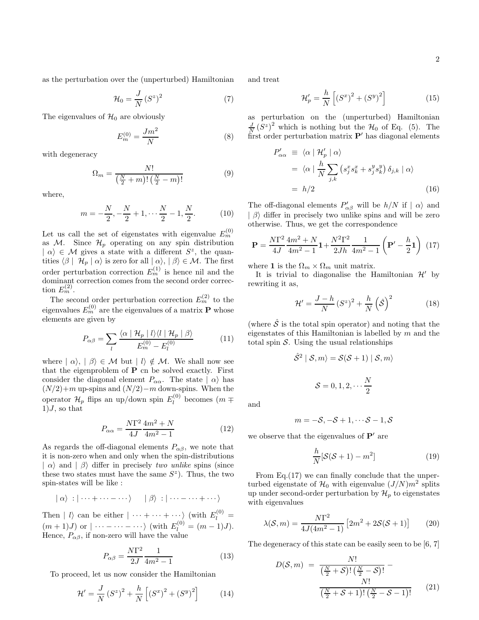as the perturbation over the (unperturbed) Hamiltonian

$$
\mathcal{H}_0 = \frac{J}{N} \left( S^z \right)^2 \tag{7}
$$

The eigenvalues of  $\mathcal{H}_0$  are obviously

$$
E_m^{(0)} = \frac{Jm^2}{N}
$$
 (8)

with degeneracy

$$
\Omega_m = \frac{N!}{\left(\frac{N}{2} + m\right)!\left(\frac{N}{2} - m\right)!} \tag{9}
$$

where,

$$
m = -\frac{N}{2}, -\frac{N}{2} + 1, \dots \frac{N}{2} - 1, \frac{N}{2}.
$$
 (10)

Let us call the set of eigenstates with eigenvalue  $E_m^{(0)}$ as  $M$ . Since  $\mathcal{H}_p$  operating on any spin distribution  $\mid \alpha \rangle \in \mathcal{M}$  gives a state with a different  $S^z$ , the quantities  $\langle \beta | \mathcal{H}_p | \alpha \rangle$  is zero for all  $| \alpha \rangle, | \beta \rangle \in \mathcal{M}$ . The first order perturbation correction  $E_m^{(1)}$  is hence nil and the dominant correction comes from the second order correction  $E_m^{(2)}$ .

The second order perturbation correction  $E_m^{(2)}$  to the eigenvalues  $E_m^{(0)}$  are the eigenvalues of a matrix  $P$  whose elements are given by

$$
P_{\alpha\beta} = \sum_{l} \frac{\langle \alpha \mid \mathcal{H}_p \mid l \rangle \langle l \mid \mathcal{H}_p \mid \beta \rangle}{E_m^{(0)} - E_l^{(0)}} \tag{11}
$$

where  $| \alpha \rangle, | \beta \rangle \in \mathcal{M}$  but  $| l \rangle \notin \mathcal{M}$ . We shall now see that the eigenproblem of P cn be solved exactly. First consider the diagonal element  $P_{\alpha\alpha}$ . The state  $|\alpha\rangle$  has  $(N/2)+m$  up-spins and  $(N/2)-m$  down-spins. When the operator  $\mathcal{H}_p$  flips an up/down spin  $E_l^{(0)}$  $\binom{10}{l}$  becomes  $(m \mp$  $1$ , so that

$$
P_{\alpha\alpha} = \frac{N\Gamma^2}{4J} \frac{4m^2 + N}{4m^2 - 1}
$$
 (12)

As regards the off-diagonal elements  $P_{\alpha\beta}$ , we note that it is non-zero when and only when the spin-distributions  $|\alpha\rangle$  and  $|\beta\rangle$  differ in precisely two unlike spins (since these two states must have the same  $S^z$ ). Thus, the two spin-states will be like :

$$
|\alpha\rangle : |\cdots + \cdots - \cdots\rangle \qquad |\beta\rangle : |\cdots - \cdots + \cdots\rangle
$$

Then |  $l$  can be either  $|\cdots + \cdots + \cdots\rangle$  (with  $E_l^{(0)} =$  $(m+1)J$  or  $|\cdots - \cdots - \cdots\rangle$  (with  $E_l^{(0)} = (m-1)J$ ). Hence,  $P_{\alpha\beta}$ , if non-zero will have the value

$$
P_{\alpha\beta} = \frac{N\Gamma^2}{2J} \frac{1}{4m^2 - 1}
$$
 (13)

To proceed, let us now consider the Hamiltonian

$$
\mathcal{H}' = \frac{J}{N} (S^z)^2 + \frac{h}{N} \left[ (S^x)^2 + (S^y)^2 \right] \tag{14}
$$

and treat

$$
\mathcal{H}'_p = \frac{h}{N} \left[ \left( S^x \right)^2 + \left( S^y \right)^2 \right] \tag{15}
$$

as perturbation on the (unperturbed) Hamiltonian  $\frac{J}{N}(S^z)^2$  which is nothing but the  $\mathcal{H}_0$  of Eq. (5). The first order perturbation matrix  $P'$  has diagonal elements

$$
P'_{\alpha\alpha} \equiv \langle \alpha | \mathcal{H}'_p | \alpha \rangle
$$
  
=  $\langle \alpha | \frac{h}{N} \sum_{j,k} (s_j^x s_k^x + s_j^y s_k^y) \delta_{j,k} | \alpha \rangle$   
=  $h/2$  (16)

The off-diagonal elements  $P'_{\alpha\beta}$  will be  $h/N$  if  $|\alpha\rangle$  and  $|\beta\rangle$  differ in precisely two unlike spins and will be zero otherwise. Thus, we get the correspondence

$$
\mathbf{P} = \frac{N\Gamma^2}{4J} \frac{4m^2 + N}{4m^2 - 1} \mathbf{1} + \frac{N^2\Gamma^2}{2Jh} \frac{1}{4m^2 - 1} \left( \mathbf{P'} - \frac{h}{2} \mathbf{1} \right) (17)
$$

where 1 is the  $\Omega_m \times \Omega_m$  unit matrix.

It is trivial to diagonalise the Hamiltonian  $\mathcal{H}'$  by rewriting it as,

$$
\mathcal{H}' = \frac{J-h}{N} \left( S^z \right)^2 + \frac{h}{N} \left( \hat{S} \right)^2 \tag{18}
$$

(where  $\hat{\mathcal{S}}$  is the total spin operator) and noting that the eigenstates of this Hamiltonian is labelled by  $m$  and the total spin  $S$ . Using the usual relationships

$$
\hat{S}^2 | S, m \rangle = S(S+1) | S, m \rangle
$$
  

$$
S = 0, 1, 2, \dots \frac{N}{2}
$$

and

$$
m=-S,-S+1,\cdots S-1,S
$$

we observe that the eigenvalues of  $P'$  are

$$
\frac{h}{N}[\mathcal{S}(\mathcal{S}+1) - m^2]
$$
 (19)

From Eq.(17) we can finally conclude that the unperturbed eigenstate of  $\mathcal{H}_0$  with eigenvalue  $(J/N)m^2$  splits up under second-order perturbation by  $\mathcal{H}_p$  to eigenstates with eigenvalues

$$
\lambda(\mathcal{S}, m) = \frac{N\Gamma^2}{4J(4m^2 - 1)} \left[ 2m^2 + 2\mathcal{S}(\mathcal{S} + 1) \right] \tag{20}
$$

The degeneracy of this state can be easily seen to be [6, 7]

$$
D(S,m) = \frac{N!}{\left(\frac{N}{2} + S\right)!\left(\frac{N}{2} - S\right)!} - \frac{N!}{\left(\frac{N}{2} + S + 1\right)!\left(\frac{N}{2} - S - 1\right)!}
$$
(21)